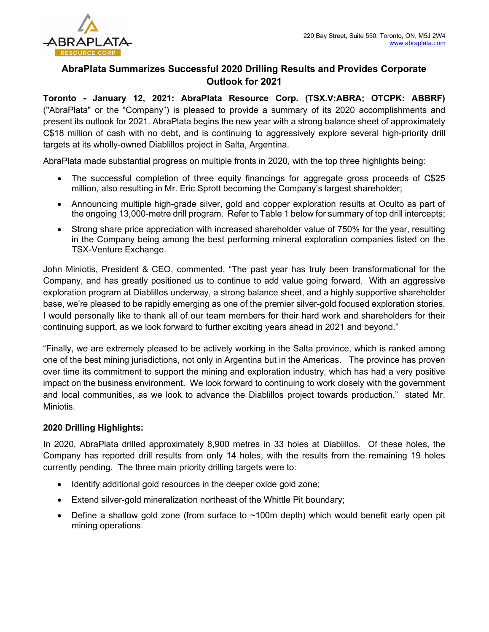

# AbraPlata Summarizes Successful 2020 Drilling Results and Provides Corporate Outlook for 2021

Toronto - January 12, 2021: AbraPlata Resource Corp. (TSX.V:ABRA; OTCPK: ABBRF) ("AbraPlata" or the "Company") is pleased to provide a summary of its 2020 accomplishments and present its outlook for 2021. AbraPlata begins the new year with a strong balance sheet of approximately C\$18 million of cash with no debt, and is continuing to aggressively explore several high-priority drill targets at its wholly-owned Diablillos project in Salta, Argentina.

AbraPlata made substantial progress on multiple fronts in 2020, with the top three highlights being:

- The successful completion of three equity financings for aggregate gross proceeds of C\$25 million, also resulting in Mr. Eric Sprott becoming the Company's largest shareholder;
- Announcing multiple high-grade silver, gold and copper exploration results at Oculto as part of the ongoing 13,000-metre drill program. Refer to Table 1 below for summary of top drill intercepts;
- Strong share price appreciation with increased shareholder value of 750% for the year, resulting in the Company being among the best performing mineral exploration companies listed on the TSX-Venture Exchange.

John Miniotis, President & CEO, commented, "The past year has truly been transformational for the Company, and has greatly positioned us to continue to add value going forward. With an aggressive exploration program at Diablillos underway, a strong balance sheet, and a highly supportive shareholder base, we're pleased to be rapidly emerging as one of the premier silver-gold focused exploration stories. I would personally like to thank all of our team members for their hard work and shareholders for their continuing support, as we look forward to further exciting years ahead in 2021 and beyond."

"Finally, we are extremely pleased to be actively working in the Salta province, which is ranked among one of the best mining jurisdictions, not only in Argentina but in the Americas. The province has proven over time its commitment to support the mining and exploration industry, which has had a very positive impact on the business environment. We look forward to continuing to work closely with the government and local communities, as we look to advance the Diablillos project towards production." stated Mr. Miniotis.

## 2020 Drilling Highlights:

In 2020, AbraPlata drilled approximately 8,900 metres in 33 holes at Diablillos. Of these holes, the Company has reported drill results from only 14 holes, with the results from the remaining 19 holes currently pending. The three main priority drilling targets were to:

- Identify additional gold resources in the deeper oxide gold zone;
- Extend silver-gold mineralization northeast of the Whittle Pit boundary;
- Define a shallow gold zone (from surface to  $\sim$ 100m depth) which would benefit early open pit mining operations.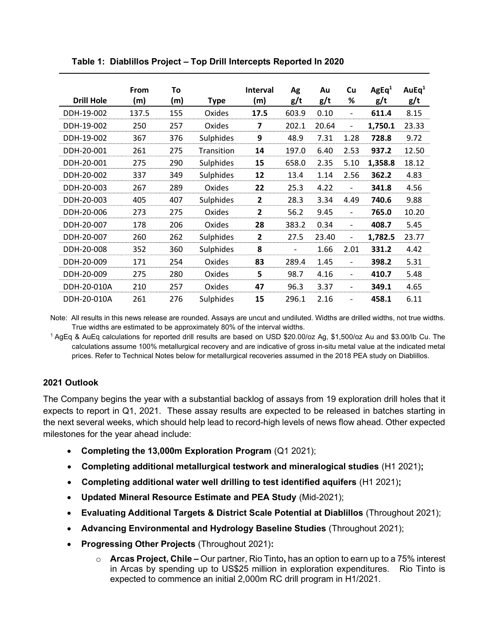| <b>Drill Hole</b> | From<br>(m) | To<br>(m) | <b>Type</b>      | <b>Interval</b><br>(m) | Ag<br>g/t                | Au<br>g/t | Cu<br>%                      | AgEq <sup>1</sup><br>g/t | AuEq <sup>1</sup><br>g/t |
|-------------------|-------------|-----------|------------------|------------------------|--------------------------|-----------|------------------------------|--------------------------|--------------------------|
| DDH-19-002        | 137.5       | 155       | Oxides           | 17.5                   | 603.9                    | 0.10      |                              | 611.4                    | 8.15                     |
| DDH-19-002        | 250         | 257       | Oxides           | 7                      | 202.1                    | 20.64     | $\overline{\phantom{0}}$     | 1,750.1                  | 23.33                    |
| DDH-19-002        | 367         | 376       | Sulphides        | 9                      | 48.9                     | 7.31      | 1.28                         | 728.8                    | 9.72                     |
| DDH-20-001        | 261         | 275       | Transition       | 14                     | 197.0                    | 6.40      | 2.53                         | 937.2                    | 12.50                    |
| DDH-20-001        | 275         | 290       | Sulphides        | 15                     | 658.0                    | 2.35      | 5.10                         | 1,358.8                  | 18.12                    |
| DDH-20-002        | 337         | 349       | Sulphides        | 12                     | 13.4                     | 1.14      | 2.56                         | 362.2                    | 4.83                     |
| DDH-20-003        | 267         | 289       | Oxides           | 22                     | 25.3                     | 4.22      |                              | 341.8                    | 4.56                     |
| DDH-20-003        | 405         | 407       | Sulphides        | $\mathbf{2}$           | 28.3                     | 3.34      | 4.49                         | 740.6                    | 9.88                     |
| DDH-20-006        | 273         | 275       | Oxides           | 2                      | 56.2                     | 9.45      | $\overline{\phantom{0}}$     | 765.0                    | 10.20                    |
| DDH-20-007        | 178         | 206       | Oxides           | 28                     | 383.2                    | 0.34      | $\overline{\phantom{0}}$     | 408.7                    | 5.45                     |
| DDH-20-007        | 260         | 262       | <b>Sulphides</b> | $\overline{2}$         | 27.5                     | 23.40     | $\overline{\phantom{0}}$     | 1,782.5                  | 23.77                    |
| DDH-20-008        | 352         | 360       | Sulphides        | 8                      | $\overline{\phantom{0}}$ | 1.66      | 2.01                         | 331.2                    | 4.42                     |
| DDH-20-009        | 171         | 254       | Oxides           | 83                     | 289.4                    | 1.45      |                              | 398.2                    | 5.31                     |
| DDH-20-009        | 275         | 280       | Oxides           | 5                      | 98.7                     | 4.16      | $\qquad \qquad \blacksquare$ | 410.7                    | 5.48                     |
| DDH-20-010A       | 210         | 257       | Oxides           | 47                     | 96.3                     | 3.37      | -                            | 349.1                    | 4.65                     |
| DDH-20-010A       | 261         | 276       | <b>Sulphides</b> | 15                     | 296.1                    | 2.16      |                              | 458.1                    | 6.11                     |

Table 1: Diablillos Project – Top Drill Intercepts Reported In 2020

Note: All results in this news release are rounded. Assays are uncut and undiluted. Widths are drilled widths, not true widths. True widths are estimated to be approximately 80% of the interval widths.

<sup>1</sup>AgEq & AuEq calculations for reported drill results are based on USD \$20.00/oz Ag, \$1,500/oz Au and \$3.00/lb Cu. The calculations assume 100% metallurgical recovery and are indicative of gross in-situ metal value at the indicated metal prices. Refer to Technical Notes below for metallurgical recoveries assumed in the 2018 PEA study on Diablillos.

## 2021 Outlook

The Company begins the year with a substantial backlog of assays from 19 exploration drill holes that it expects to report in Q1, 2021. These assay results are expected to be released in batches starting in the next several weeks, which should help lead to record-high levels of news flow ahead. Other expected milestones for the year ahead include:

- Completing the 13,000m Exploration Program (Q1 2021);
- Completing additional metallurgical testwork and mineralogical studies (H1 2021);
- Completing additional water well drilling to test identified aquifers (H1 2021);
- Updated Mineral Resource Estimate and PEA Study (Mid-2021);
- Evaluating Additional Targets & District Scale Potential at Diablillos (Throughout 2021);
- Advancing Environmental and Hydrology Baseline Studies (Throughout 2021);
- Progressing Other Projects (Throughout 2021):
	- $\circ$  Arcas Project, Chile Our partner, Rio Tinto, has an option to earn up to a 75% interest in Arcas by spending up to US\$25 million in exploration expenditures. Rio Tinto is expected to commence an initial 2,000m RC drill program in H1/2021.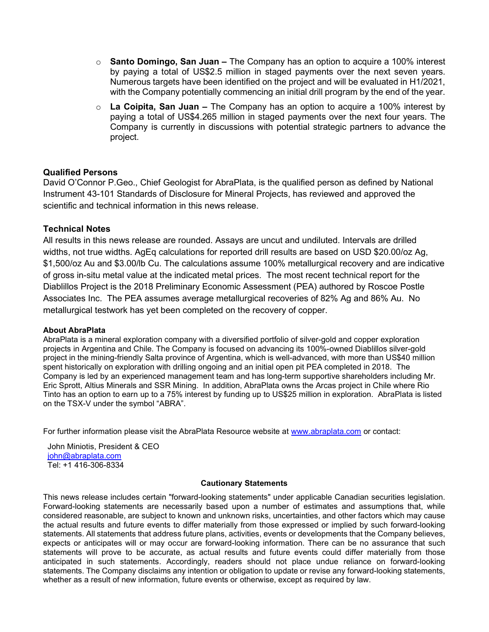- $\circ$  Santo Domingo, San Juan The Company has an option to acquire a 100% interest by paying a total of US\$2.5 million in staged payments over the next seven years. Numerous targets have been identified on the project and will be evaluated in H1/2021, with the Company potentially commencing an initial drill program by the end of the year.
- $\circ$  La Coipita, San Juan The Company has an option to acquire a 100% interest by paying a total of US\$4.265 million in staged payments over the next four years. The Company is currently in discussions with potential strategic partners to advance the project.

### Qualified Persons

David O'Connor P.Geo., Chief Geologist for AbraPlata, is the qualified person as defined by National Instrument 43-101 Standards of Disclosure for Mineral Projects, has reviewed and approved the scientific and technical information in this news release.

### Technical Notes

All results in this news release are rounded. Assays are uncut and undiluted. Intervals are drilled widths, not true widths. AgEq calculations for reported drill results are based on USD \$20.00/oz Ag, \$1,500/oz Au and \$3.00/lb Cu. The calculations assume 100% metallurgical recovery and are indicative of gross in-situ metal value at the indicated metal prices. The most recent technical report for the Diablillos Project is the 2018 Preliminary Economic Assessment (PEA) authored by Roscoe Postle Associates Inc. The PEA assumes average metallurgical recoveries of 82% Ag and 86% Au. No metallurgical testwork has yet been completed on the recovery of copper.

#### About AbraPlata

AbraPlata is a mineral exploration company with a diversified portfolio of silver-gold and copper exploration projects in Argentina and Chile. The Company is focused on advancing its 100%-owned Diablillos silver-gold project in the mining-friendly Salta province of Argentina, which is well-advanced, with more than US\$40 million spent historically on exploration with drilling ongoing and an initial open pit PEA completed in 2018. The Company is led by an experienced management team and has long-term supportive shareholders including Mr. Eric Sprott, Altius Minerals and SSR Mining. In addition, AbraPlata owns the Arcas project in Chile where Rio Tinto has an option to earn up to a 75% interest by funding up to US\$25 million in exploration. AbraPlata is listed on the TSX-V under the symbol "ABRA".

For further information please visit the AbraPlata Resource website at www.abraplata.com or contact:

John Miniotis, President & CEO john@abraplata.com Tel: +1 416-306-8334

#### Cautionary Statements

This news release includes certain "forward-looking statements" under applicable Canadian securities legislation. Forward-looking statements are necessarily based upon a number of estimates and assumptions that, while considered reasonable, are subject to known and unknown risks, uncertainties, and other factors which may cause the actual results and future events to differ materially from those expressed or implied by such forward-looking statements. All statements that address future plans, activities, events or developments that the Company believes, expects or anticipates will or may occur are forward-looking information. There can be no assurance that such statements will prove to be accurate, as actual results and future events could differ materially from those anticipated in such statements. Accordingly, readers should not place undue reliance on forward-looking statements. The Company disclaims any intention or obligation to update or revise any forward-looking statements, whether as a result of new information, future events or otherwise, except as required by law.